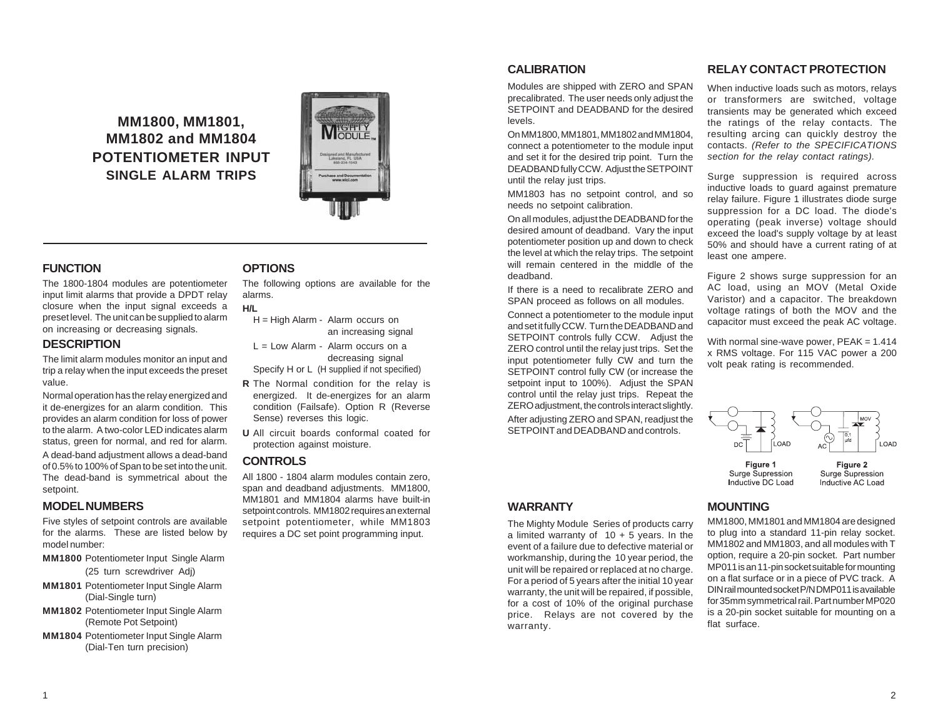**MM1800, MM1801, MM1802 and MM1804 POTENTIOMETER INPUT SINGLE ALARM TRIPS**



## **FUNCTION**

The 1800-1804 modules are potentiometer input limit alarms that provide a DPDT relay closure when the input signal exceeds a preset level. The unit can be supplied to alarm on increasing or decreasing signals.

### **DESCRIPTION**

The limit alarm modules monitor an input and trip a relay when the input exceeds the preset value.

Normal operation has the relay energized and it de-energizes for an alarm condition. This provides an alarm condition for loss of power to the alarm. A two-color LED indicates alarm status, green for normal, and red for alarm.

A dead-band adjustment allows a dead-band of 0.5% to 100% of Span to be set into the unit. The dead-band is symmetrical about the setpoint.

### **MODEL NUMBERS**

Five styles of setpoint controls are available for the alarms. These are listed below by model number:

- **MM1800** Potentiometer Input Single Alarm (25 turn screwdriver Adj)
- **MM1801** Potentiometer Input Single Alarm (Dial-Single turn)
- **MM1802** Potentiometer Input Single Alarm (Remote Pot Setpoint)
- **MM1804** Potentiometer Input Single Alarm (Dial-Ten turn precision)

# **OPTIONS**

The following options are available for the alarms.

# **H/L**

- H = High Alarm Alarm occurs on an increasing signal
- $L = Low$  Alarm Alarm occurs on a decreasing signal Specify H or L (H supplied if not specified)
- **R** The Normal condition for the relay is energized. It de-energizes for an alarm condition (Failsafe). Option R (Reverse Sense) reverses this logic.
- **U** All circuit boards conformal coated for protection against moisture.

### **CONTROLS**

All 1800 - 1804 alarm modules contain zero, span and deadband adjustments. MM1800, MM1801 and MM1804 alarms have built-in setpoint controls. MM1802 requires an external setpoint potentiometer, while MM1803 requires a DC set point programming input.

## **CALIBRATION**

Modules are shipped with ZERO and SPAN precalibrated. The user needs only adjust the SETPOINT and DEADBAND for the desired levels.

On MM1800, MM1801, MM1802 and MM1804, connect a potentiometer to the module input and set it for the desired trip point. Turn the DEADBAND fully CCW. Adjust the SETPOINT until the relay just trips.

MM1803 has no setpoint control, and so needs no setpoint calibration.

On all modules, adjust the DEADBAND for the desired amount of deadband. Vary the input potentiometer position up and down to check the level at which the relay trips. The setpoint will remain centered in the middle of the deadband.

If there is a need to recalibrate ZERO and SPAN proceed as follows on all modules.

Connect a potentiometer to the module input and set it fully CCW. Turn the DEADBAND and SETPOINT controls fully CCW. Adjust the ZERO control until the relay just trips. Set the input potentiometer fully CW and turn the SETPOINT control fully CW (or increase the setpoint input to 100%). Adjust the SPAN control until the relay just trips. Repeat the ZERO adjustment, the controls interact slightly.

After adjusting ZERO and SPAN, readjust the SETPOINT and DEADBAND and controls.

# **RELAY CONTACT PROTECTION**

When inductive loads such as motors, relays or transformers are switched, voltage transients may be generated which exceed the ratings of the relay contacts. The resulting arcing can quickly destroy the contacts. *(Refer to the SPECIFICATIONS section for the relay contact ratings).*

Surge suppression is required across inductive loads to guard against premature relay failure. Figure 1 illustrates diode surge suppression for a DC load. The diode's operating (peak inverse) voltage should exceed the load's supply voltage by at least 50% and should have a current rating of at least one ampere.

Figure 2 shows surge suppression for an AC load, using an MOV (Metal Oxide Varistor) and a capacitor. The breakdown voltage ratings of both the MOV and the capacitor must exceed the peak AC voltage.

With normal sine-wave power,  $PEAK = 1.414$ x RMS voltage. For 115 VAC power a 200 volt peak rating is recommended.



**WARRANTY**

The Mighty Module Series of products carry a limited warranty of  $10 + 5$  years. In the event of a failure due to defective material or workmanship, during the 10 year period, the unit will be repaired or replaced at no charge. For a period of 5 years after the initial 10 year warranty, the unit will be repaired, if possible, for a cost of 10% of the original purchase price. Relays are not covered by the warranty.

# **MOUNTING**

MM1800, MM1801 and MM1804 are designed to plug into a standard 11-pin relay socket. MM1802 and MM1803, and all modules with T option, require a 20-pin socket. Part number MP011 is an 11-pin socket suitable for mounting on a flat surface or in a piece of PVC track. A DIN rail mounted socket P/N DMP011 is available for 35mm symmetrical rail. Part number MP020 is a 20-pin socket suitable for mounting on a flat surface.